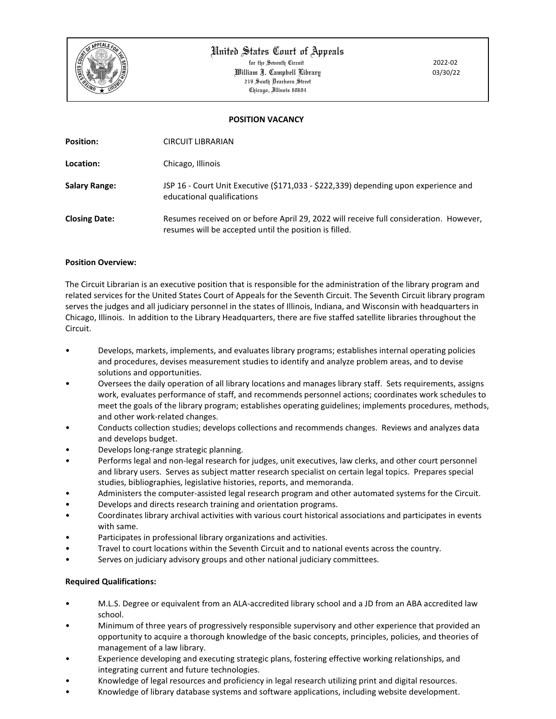

# United States Court of Appeals

for the Seventh Circuit 2022-02 William J. Campbell Library 03/30/22 219 South Dearborn Street Chicago, Illinois 60604

# **POSITION VACANCY**

| <b>Position:</b>     | CIRCUIT LIBRARIAN                                                                                                                                |
|----------------------|--------------------------------------------------------------------------------------------------------------------------------------------------|
| Location:            | Chicago, Illinois                                                                                                                                |
| <b>Salary Range:</b> | JSP 16 - Court Unit Executive (\$171,033 - \$222,339) depending upon experience and<br>educational qualifications                                |
| <b>Closing Date:</b> | Resumes received on or before April 29, 2022 will receive full consideration. However,<br>resumes will be accepted until the position is filled. |

#### **Position Overview:**

The Circuit Librarian is an executive position that is responsible for the administration of the library program and related services for the United States Court of Appeals for the Seventh Circuit. The Seventh Circuit library program serves the judges and all judiciary personnel in the states of Illinois, Indiana, and Wisconsin with headquarters in Chicago, Illinois. In addition to the Library Headquarters, there are five staffed satellite libraries throughout the Circuit.

- Develops, markets, implements, and evaluates library programs; establishes internal operating policies and procedures, devises measurement studies to identify and analyze problem areas, and to devise solutions and opportunities.
- Oversees the daily operation of all library locations and manages library staff. Sets requirements, assigns work, evaluates performance of staff, and recommends personnel actions; coordinates work schedules to meet the goals of the library program; establishes operating guidelines; implements procedures, methods, and other work-related changes.
- Conducts collection studies; develops collections and recommends changes. Reviews and analyzes data and develops budget.
- Develops long-range strategic planning.
- Performs legal and non-legal research for judges, unit executives, law clerks, and other court personnel and library users. Serves as subject matter research specialist on certain legal topics. Prepares special studies, bibliographies, legislative histories, reports, and memoranda.
- Administers the computer-assisted legal research program and other automated systems for the Circuit.
- Develops and directs research training and orientation programs.
- Coordinates library archival activities with various court historical associations and participates in events with same.
- Participates in professional library organizations and activities.
- Travel to court locations within the Seventh Circuit and to national events across the country.
- Serves on judiciary advisory groups and other national judiciary committees.

# **Required Qualifications:**

- M.L.S. Degree or equivalent from an ALA-accredited library school and a JD from an ABA accredited law school.
- Minimum of three years of progressively responsible supervisory and other experience that provided an opportunity to acquire a thorough knowledge of the basic concepts, principles, policies, and theories of management of a law library.
- Experience developing and executing strategic plans, fostering effective working relationships, and integrating current and future technologies.
- Knowledge of legal resources and proficiency in legal research utilizing print and digital resources.
- Knowledge of library database systems and software applications, including website development.